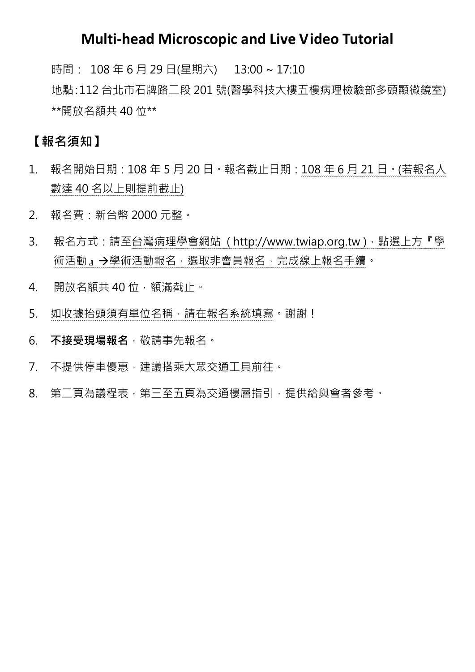## **Multi-head Microscopic and Live Video Tutorial**

時間: 108 年 6 月 29 日(星期六) 13:00 ~ 17:10

地點:112 台北市石牌路二段 201 號(醫學科技大樓五樓病理檢驗部多頭顯微鏡室) \*\*開放名額共 40 位\*\*

## **【報名須知】**

- 1. 報名開始日期:108 年 5 月 20 日。報名截止日期:108 年 6 月 21 日。(若報名人 數達 40 名以上則提前截止)
- 2. 報名費:新台幣 2000 元整。
- 3. 報名方式:請至台灣病理學會網站 (http://www.twiap.org.tw),點選上方『學 術活動』→學術活動報名,選取非會員報名,完成線上報名手續。
- 4. 開放名額共40位,額滿截止。
- 5. 如收據抬頭須有單位名稱,請在報名系統填寫。謝謝!
- 6. 不接受現場報名, 敬請事先報名。
- 7. 不提供停車優惠,建議搭乘大眾交通工具前往。
- 8. 第二頁為議程表,第三至五頁為交通樓層指引,提供給與會者參考。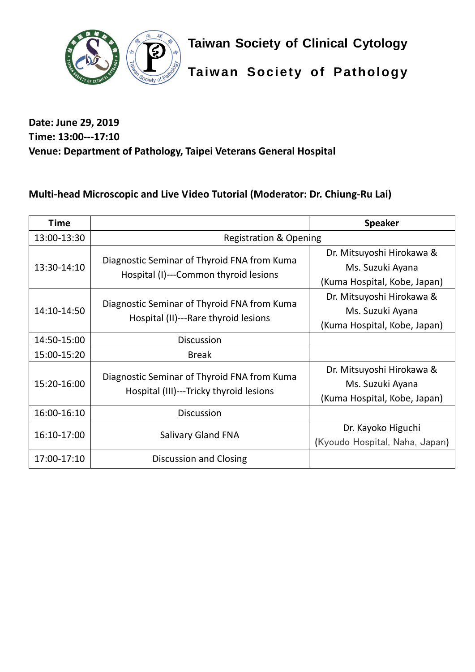

**Taiwan Society of Clinical Cytology**

**Taiwan Society of Pathology**

### **Date: June 29, 2019 Time: 13:00---17:10 Venue: Department of Pathology, Taipei Veterans General Hospital**

## **Multi-head Microscopic and Live Video Tutorial (Moderator: Dr. Chiung-Ru Lai)**

| <b>Time</b> |                                                                                        | <b>Speaker</b>                                                                |
|-------------|----------------------------------------------------------------------------------------|-------------------------------------------------------------------------------|
| 13:00-13:30 | <b>Registration &amp; Opening</b>                                                      |                                                                               |
| 13:30-14:10 | Diagnostic Seminar of Thyroid FNA from Kuma<br>Hospital (I)---Common thyroid lesions   | Dr. Mitsuyoshi Hirokawa &<br>Ms. Suzuki Ayana<br>(Kuma Hospital, Kobe, Japan) |
| 14:10-14:50 | Diagnostic Seminar of Thyroid FNA from Kuma<br>Hospital (II)---Rare thyroid lesions    | Dr. Mitsuyoshi Hirokawa &<br>Ms. Suzuki Ayana<br>(Kuma Hospital, Kobe, Japan) |
| 14:50-15:00 | <b>Discussion</b>                                                                      |                                                                               |
| 15:00-15:20 | <b>Break</b>                                                                           |                                                                               |
| 15:20-16:00 | Diagnostic Seminar of Thyroid FNA from Kuma<br>Hospital (III)---Tricky thyroid lesions | Dr. Mitsuyoshi Hirokawa &<br>Ms. Suzuki Ayana<br>(Kuma Hospital, Kobe, Japan) |
| 16:00-16:10 | <b>Discussion</b>                                                                      |                                                                               |
| 16:10-17:00 | <b>Salivary Gland FNA</b>                                                              | Dr. Kayoko Higuchi<br>(Kyoudo Hospital, Naha, Japan)                          |
| 17:00-17:10 | Discussion and Closing                                                                 |                                                                               |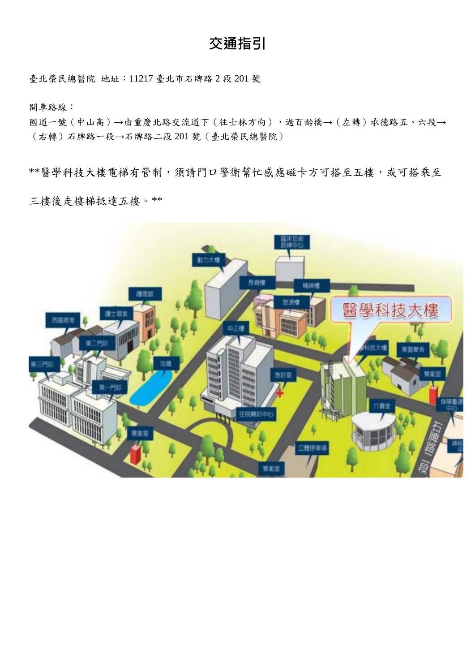# **交通指引**

臺北榮民總醫院 地址:11217 臺北市石牌路 2 段 201 號

開車路線:

國道一號(中山高)→由重慶北路交流道下(往士林方向),過百齡橋→(左轉)承德路五、六段→ (右轉)石牌路一段→石牌路二段 201 號(臺北榮民總醫院)

\*\*醫學科技大樓電梯有管制,須請門口警衛幫忙感應磁卡方可搭至五樓,或可搭乘至

三樓後走樓梯抵達五樓。\*\*

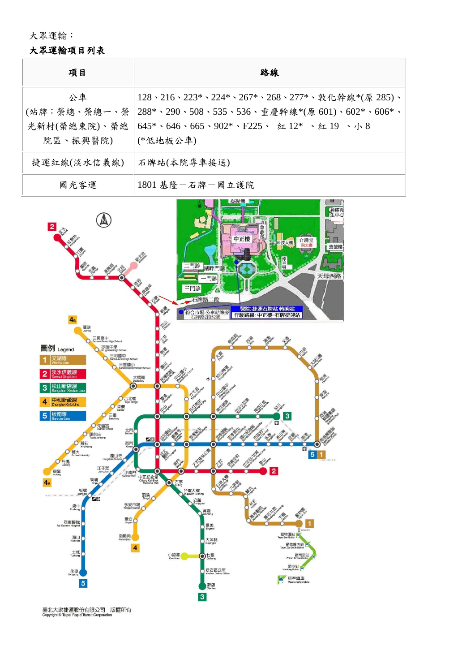大眾運輸:

#### 大眾運輸項目列表

| 項目                                             | 路線                                                                                                                                                                                                                          |
|------------------------------------------------|-----------------------------------------------------------------------------------------------------------------------------------------------------------------------------------------------------------------------------|
| 公車<br>(站牌:榮總、榮總一、榮<br>光新村(榮總東院)、榮總<br>院區、振興醫院) | 128、216、223*、224*、267*、268、277*、敦化幹線*(原 285)、<br>288*、290、508、535、536、重慶幹線*(原 601)、602*、606*、<br>$645* \cdot 646 \cdot 665 \cdot 902* \cdot F225 \cdot \text{ St } 12* \cdot \text{ St } 19 \cdot \text{ h } 8$<br>(*低地板公車) |
| 捷運紅線(淡水信義線)                                    | 石牌站(本院專車接送)                                                                                                                                                                                                                 |
| 國光客運                                           | 1801 基隆一石牌一國立護院                                                                                                                                                                                                             |